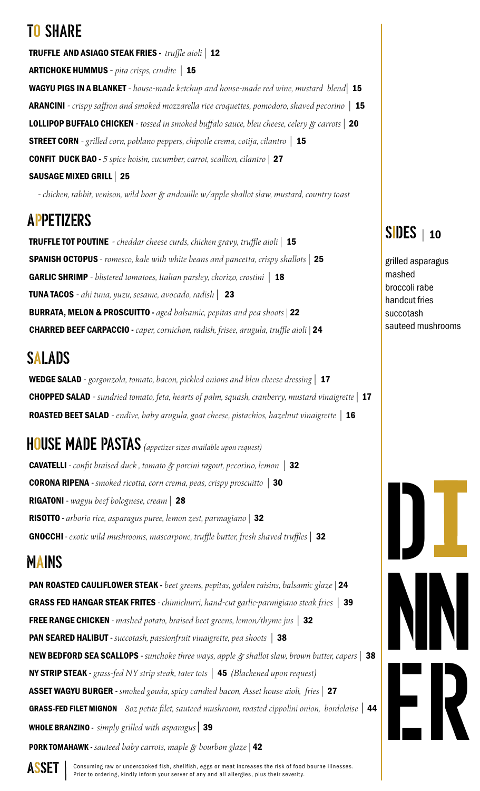# TO SHARE

TRUFFLE AND ASIAGO STEAK FRIES - *truffle aioli |* 12 ARTICHOKE HUMMUS *- pita crisps, crudite |* 15 WAGYU PIGS IN A BLANKET *- house-made ketchup and house-made red wine, mustard blend|* 15 ARANCINI *- crispy saffron and smoked mozzarella rice croquettes, pomodoro, shaved pecorino |* 15 LOLLIPOP BUFFALO CHICKEN *- tossed in smoked buffalo sauce, bleu cheese, celery & carrots |* 20 STREET CORN *- grilled corn, poblano peppers, chipotle crema, cotija, cilantro |* 15 CONFIT DUCK BAO - *5 spice hoisin, cucumber, carrot, scallion, cilantro |* 27 SAUSAGE MIXED GRILL *|* 25

*- chicken, rabbit, venison, wild boar & andouille w/apple shallot slaw, mustard, country toast*

# APPETIZERS

TRUFFLE TOT POUTINE *- cheddar cheese curds, chicken gravy, truffle aioli |* 15 SPANISH OCTOPUS *- romesco, kale with white beans and pancetta, crispy shallots |* 25 GARLIC SHRIMP *- blistered tomatoes, Italian parsley, chorizo, crostini |* 18 TUNA TACOS *- ahi tuna, yuzu, sesame, avocado, radish |* 23 BURRATA, MELON & PROSCUITTO - *aged balsamic, pepitas and pea shoots |* 22 CHARRED BEEF CARPACCIO - *caper, cornichon, radish, frisee, arugula, truffle aioli |* 24

# SALADS

WEDGE SALAD *- gorgonzola, tomato, bacon, pickled onions and bleu cheese dressing |* 17 CHOPPED SALAD *- sundried tomato, feta, hearts of palm, squash, cranberry, mustard vinaigrette |* 17 ROASTED BEET SALAD *- endive, baby arugula, goat cheese, pistachios, hazelnut vinaigrette |* 16

HOUSE MADE PASTAS *(appetizer sizes available upon request)* CAVATELLI - *confit braised duck , tomato & porcini ragout, pecorino, lemon |* 32 CORONA RIPENA - *smoked ricotta, corn crema, peas, crispy proscuitto |* 30 RIGATONI - *wagyu beef bolognese, cream |* 28 RISOTTO - *arborio rice, asparagus puree, lemon zest, parmagiano |* 32 GNOCCHI - *exotic wild mushrooms, mascarpone, truffle butter, fresh shaved truffles |* 32

# MAINS

 PAN ROASTED CAULIFLOWER STEAK - *beet greens, pepitas, golden raisins, balsamic glaze |* 24 GRASS FED HANGAR STEAK FRITES - *chimichurri, hand-cut garlic-parmigiano steak fries |* 39 FREE RANGE CHICKEN - *mashed potato, braised beet greens, lemon/thyme jus |* 32 PAN SEARED HALIBUT - *succotash, passionfruit vinaigrette, pea shoots |* 38 NEW BEDFORD SEA SCALLOPS - *sunchoke three ways, apple & shallot slaw, brown butter, capers |* 38 NY STRIP STEAK - *grass-fed NY strip steak, tater tots |* 45 *(Blackened upon request)* ASSET WAGYU BURGER - *smoked gouda, spicy candied bacon, Asset house aioli, fries |* 27 GRASS-FED FILET MIGNON - *8oz petite filet, sauteed mushroom, roasted cippolini onion, bordelaise* | 44 WHOLE BRANZINO - *simply grilled with asparagus* | 39 PORK TOMAHAWK - *sauteed baby carrots, maple & bourbon glaze |* 42

## SIDES *<sup>|</sup>* <sup>10</sup>

 grilled asparagus mashed broccoli rabe handcut fries succotash sauteed mushrooms



İ

**ASSET** consuming raw or undercooked fish, shellfish, eggs or meat increases the risk of food bourne illnesses.<br>Prior to ordering, kindly inform your server of any and all allergies, plus their severity.